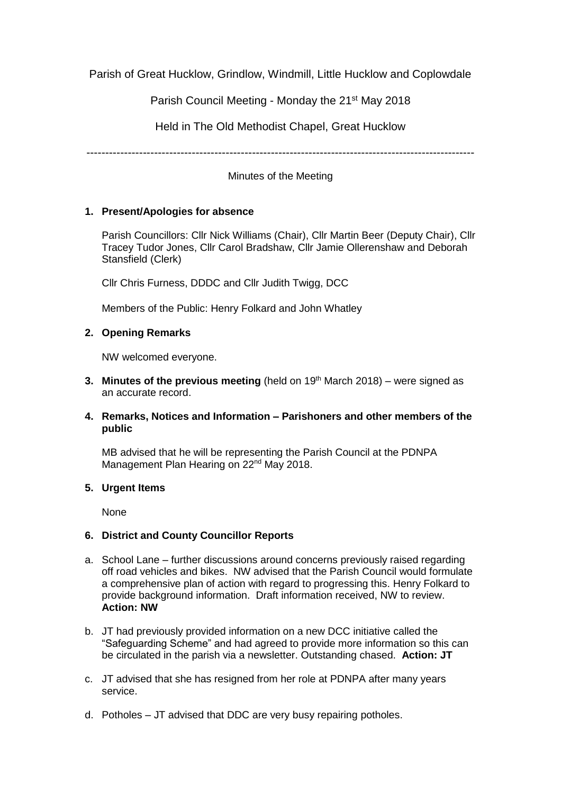Parish of Great Hucklow, Grindlow, Windmill, Little Hucklow and Coplowdale

Parish Council Meeting - Monday the 21<sup>st</sup> May 2018

Held in The Old Methodist Chapel, Great Hucklow

-------------------------------------------------------------------------------------------------------

Minutes of the Meeting

## **1. Present/Apologies for absence**

Parish Councillors: Cllr Nick Williams (Chair), Cllr Martin Beer (Deputy Chair), Cllr Tracey Tudor Jones, Cllr Carol Bradshaw, Cllr Jamie Ollerenshaw and Deborah Stansfield (Clerk)

Cllr Chris Furness, DDDC and Cllr Judith Twigg, DCC

Members of the Public: Henry Folkard and John Whatley

# **2. Opening Remarks**

NW welcomed everyone.

- **3. Minutes of the previous meeting** (held on 19<sup>th</sup> March 2018) were signed as an accurate record.
- **4. Remarks, Notices and Information – Parishoners and other members of the public**

MB advised that he will be representing the Parish Council at the PDNPA Management Plan Hearing on 22<sup>nd</sup> May 2018.

## **5. Urgent Items**

None

## **6. District and County Councillor Reports**

- a. School Lane further discussions around concerns previously raised regarding off road vehicles and bikes. NW advised that the Parish Council would formulate a comprehensive plan of action with regard to progressing this. Henry Folkard to provide background information. Draft information received, NW to review. **Action: NW**
- b. JT had previously provided information on a new DCC initiative called the "Safeguarding Scheme" and had agreed to provide more information so this can be circulated in the parish via a newsletter. Outstanding chased. **Action: JT**
- c. JT advised that she has resigned from her role at PDNPA after many years service.
- d. Potholes JT advised that DDC are very busy repairing potholes.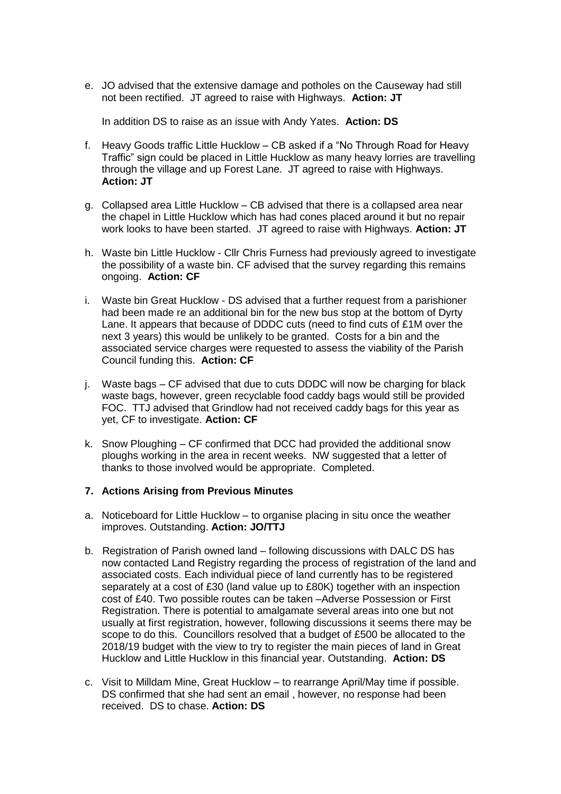e. JO advised that the extensive damage and potholes on the Causeway had still not been rectified. JT agreed to raise with Highways. **Action: JT**

In addition DS to raise as an issue with Andy Yates. **Action: DS**

- f. Heavy Goods traffic Little Hucklow CB asked if a "No Through Road for Heavy Traffic" sign could be placed in Little Hucklow as many heavy lorries are travelling through the village and up Forest Lane. JT agreed to raise with Highways. **Action: JT**
- g. Collapsed area Little Hucklow CB advised that there is a collapsed area near the chapel in Little Hucklow which has had cones placed around it but no repair work looks to have been started. JT agreed to raise with Highways. **Action: JT**
- h. Waste bin Little Hucklow Cllr Chris Furness had previously agreed to investigate the possibility of a waste bin. CF advised that the survey regarding this remains ongoing. **Action: CF**
- i. Waste bin Great Hucklow DS advised that a further request from a parishioner had been made re an additional bin for the new bus stop at the bottom of Dyrty Lane. It appears that because of DDDC cuts (need to find cuts of £1M over the next 3 years) this would be unlikely to be granted. Costs for a bin and the associated service charges were requested to assess the viability of the Parish Council funding this. **Action: CF**
- j. Waste bags CF advised that due to cuts DDDC will now be charging for black waste bags, however, green recyclable food caddy bags would still be provided FOC. TTJ advised that Grindlow had not received caddy bags for this year as yet, CF to investigate. **Action: CF**
- k. Snow Ploughing CF confirmed that DCC had provided the additional snow ploughs working in the area in recent weeks. NW suggested that a letter of thanks to those involved would be appropriate. Completed.

#### **7. Actions Arising from Previous Minutes**

- a. Noticeboard for Little Hucklow to organise placing in situ once the weather improves. Outstanding. **Action: JO/TTJ**
- b. Registration of Parish owned land following discussions with DALC DS has now contacted Land Registry regarding the process of registration of the land and associated costs. Each individual piece of land currently has to be registered separately at a cost of £30 (land value up to £80K) together with an inspection cost of £40. Two possible routes can be taken –Adverse Possession or First Registration. There is potential to amalgamate several areas into one but not usually at first registration, however, following discussions it seems there may be scope to do this. Councillors resolved that a budget of £500 be allocated to the 2018/19 budget with the view to try to register the main pieces of land in Great Hucklow and Little Hucklow in this financial year. Outstanding. **Action: DS**
- c. Visit to Milldam Mine, Great Hucklow to rearrange April/May time if possible. DS confirmed that she had sent an email , however, no response had been received. DS to chase. **Action: DS**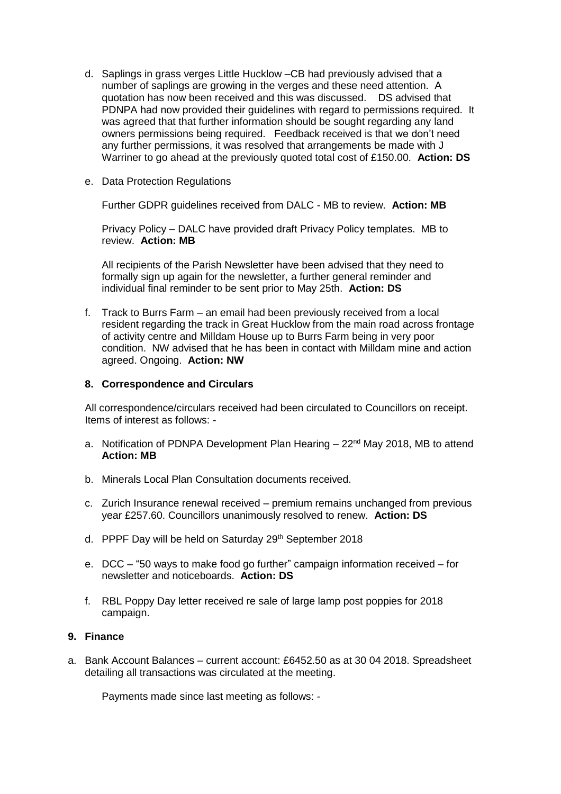- d. Saplings in grass verges Little Hucklow –CB had previously advised that a number of saplings are growing in the verges and these need attention. A quotation has now been received and this was discussed. DS advised that PDNPA had now provided their guidelines with regard to permissions required. It was agreed that that further information should be sought regarding any land owners permissions being required. Feedback received is that we don't need any further permissions, it was resolved that arrangements be made with J Warriner to go ahead at the previously quoted total cost of £150.00. **Action: DS**
- e. Data Protection Regulations

Further GDPR guidelines received from DALC - MB to review. **Action: MB**

Privacy Policy – DALC have provided draft Privacy Policy templates. MB to review. **Action: MB**

All recipients of the Parish Newsletter have been advised that they need to formally sign up again for the newsletter, a further general reminder and individual final reminder to be sent prior to May 25th. **Action: DS**

f. Track to Burrs Farm – an email had been previously received from a local resident regarding the track in Great Hucklow from the main road across frontage of activity centre and Milldam House up to Burrs Farm being in very poor condition. NW advised that he has been in contact with Milldam mine and action agreed. Ongoing. **Action: NW**

## **8. Correspondence and Circulars**

All correspondence/circulars received had been circulated to Councillors on receipt. Items of interest as follows: -

- a. Notification of PDNPA Development Plan Hearing  $-22<sup>nd</sup>$  May 2018, MB to attend **Action: MB**
- b. Minerals Local Plan Consultation documents received.
- c. Zurich Insurance renewal received premium remains unchanged from previous year £257.60. Councillors unanimously resolved to renew. **Action: DS**
- d. PPPF Day will be held on Saturday 29<sup>th</sup> September 2018
- e. DCC "50 ways to make food go further" campaign information received for newsletter and noticeboards. **Action: DS**
- f. RBL Poppy Day letter received re sale of large lamp post poppies for 2018 campaign.

## **9. Finance**

a. Bank Account Balances – current account: £6452.50 as at 30 04 2018. Spreadsheet detailing all transactions was circulated at the meeting.

Payments made since last meeting as follows: -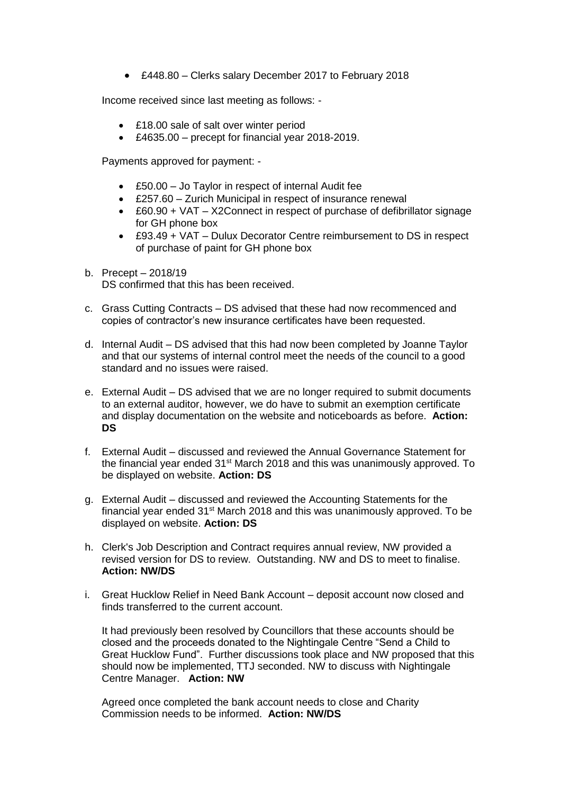£448.80 – Clerks salary December 2017 to February 2018

Income received since last meeting as follows: -

- £18.00 sale of salt over winter period
- £4635.00 precept for financial year 2018-2019.

Payments approved for payment: -

- £50.00 Jo Taylor in respect of internal Audit fee
- £257.60 Zurich Municipal in respect of insurance renewal
- £60.90 + VAT X2Connect in respect of purchase of defibrillator signage for GH phone box
- £93.49 + VAT Dulux Decorator Centre reimbursement to DS in respect of purchase of paint for GH phone box
- b. Precept 2018/19 DS confirmed that this has been received.
- c. Grass Cutting Contracts DS advised that these had now recommenced and copies of contractor's new insurance certificates have been requested.
- d. Internal Audit DS advised that this had now been completed by Joanne Taylor and that our systems of internal control meet the needs of the council to a good standard and no issues were raised.
- e. External Audit DS advised that we are no longer required to submit documents to an external auditor, however, we do have to submit an exemption certificate and display documentation on the website and noticeboards as before. **Action: DS**
- f. External Audit discussed and reviewed the Annual Governance Statement for the financial year ended  $31<sup>st</sup>$  March 2018 and this was unanimously approved. To be displayed on website. **Action: DS**
- g. External Audit discussed and reviewed the Accounting Statements for the financial year ended  $31<sup>st</sup>$  March 2018 and this was unanimously approved. To be displayed on website. **Action: DS**
- h. Clerk's Job Description and Contract requires annual review, NW provided a revised version for DS to review. Outstanding. NW and DS to meet to finalise. **Action: NW/DS**
- i. Great Hucklow Relief in Need Bank Account deposit account now closed and finds transferred to the current account.

It had previously been resolved by Councillors that these accounts should be closed and the proceeds donated to the Nightingale Centre "Send a Child to Great Hucklow Fund". Further discussions took place and NW proposed that this should now be implemented, TTJ seconded. NW to discuss with Nightingale Centre Manager. **Action: NW**

Agreed once completed the bank account needs to close and Charity Commission needs to be informed. **Action: NW/DS**